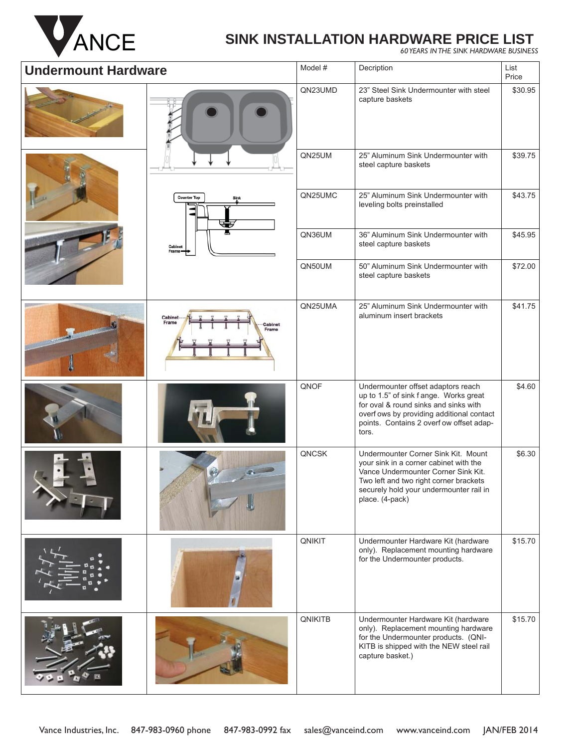

# ANCE **SINK INSTALLATION HARDWARE PRICE LIST** *60 YEARS IN THE SINK HARDWARE BUSINESS*

| <b>Undermount Hardware</b> |                                      | Model # | Decription                                                                                                                                                                                                                   | List<br>Price |
|----------------------------|--------------------------------------|---------|------------------------------------------------------------------------------------------------------------------------------------------------------------------------------------------------------------------------------|---------------|
|                            |                                      | QN23UMD | 23" Steel Sink Undermounter with steel<br>capture baskets                                                                                                                                                                    | \$30.95       |
|                            |                                      | QN25UM  | 25" Aluminum Sink Undermounter with<br>steel capture baskets                                                                                                                                                                 | \$39.75       |
|                            | <b>Counter Top</b>                   | QN25UMC | 25" Aluminum Sink Undermounter with<br>leveling bolts preinstalled                                                                                                                                                           | \$43.75       |
|                            | Cabinet<br>Frame                     | QN36UM  | 36" Aluminum Sink Undermounter with<br>steel capture baskets                                                                                                                                                                 | \$45.95       |
|                            |                                      | QN50UM  | 50" Aluminum Sink Undermounter with<br>steel capture baskets                                                                                                                                                                 | \$72.00       |
|                            | Cabinet<br>Frame<br>Cabinet<br>Frame | QN25UMA | 25" Aluminum Sink Undermounter with<br>aluminum insert brackets                                                                                                                                                              | \$41.75       |
|                            |                                      | QNOF    | Undermounter offset adaptors reach<br>up to 1.5" of sink f ange. Works great<br>for oval & round sinks and sinks with<br>overf ows by providing additional contact<br>points. Contains 2 overf ow offset adap-<br>tors.      | \$4.60        |
|                            |                                      | QNCSK   | Undermounter Corner Sink Kit. Mount<br>your sink in a corner cabinet with the<br>Vance Undermounter Corner Sink Kit.<br>Two left and two right corner brackets<br>securely hold your undermounter rail in<br>place. (4-pack) | \$6.30        |
|                            |                                      | QNIKIT  | Undermounter Hardware Kit (hardware<br>only). Replacement mounting hardware<br>for the Undermounter products.                                                                                                                | \$15.70       |
|                            |                                      | QNIKITB | Undermounter Hardware Kit (hardware<br>only). Replacement mounting hardware<br>for the Undermounter products. (QNI-<br>KITB is shipped with the NEW steel rail<br>capture basket.)                                           | \$15.70       |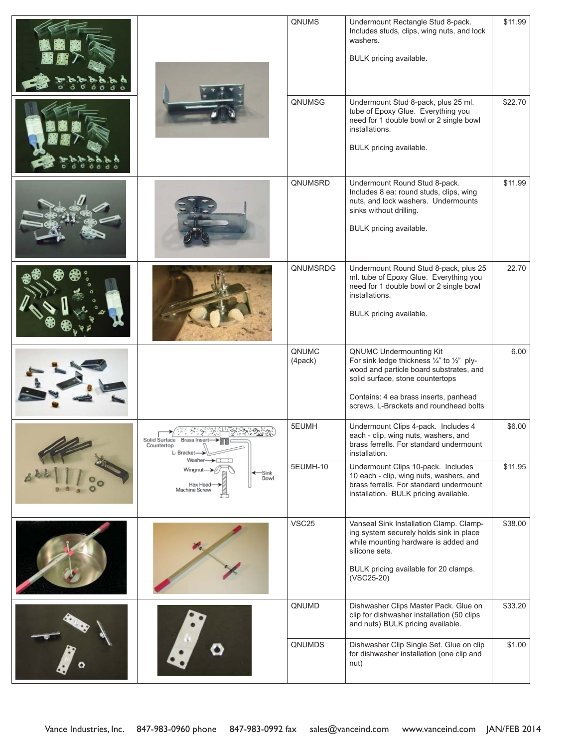|                                                        | QNUMS             | Undermount Rectangle Stud 8-pack.<br>Includes studs, clips, wing nuts, and lock<br>washers.<br>BULK pricing available.                                                                                                                  | \$11.99 |
|--------------------------------------------------------|-------------------|-----------------------------------------------------------------------------------------------------------------------------------------------------------------------------------------------------------------------------------------|---------|
|                                                        | QNUMSG            | Undermount Stud 8-pack, plus 25 ml.<br>tube of Epoxy Glue. Everything you<br>need for 1 double bowl or 2 single bowl<br>installations.<br>BULK pricing available.                                                                       | \$22.70 |
|                                                        | QNUMSRD           | Undermount Round Stud 8-pack.<br>Includes 8 ea: round studs, clips, wing<br>nuts, and lock washers. Undermounts<br>sinks without drilling.<br>BULK pricing available.                                                                   | \$11.99 |
|                                                        | QNUMSRDG          | Undermount Round Stud 8-pack, plus 25<br>ml. tube of Epoxy Glue. Everything you<br>need for 1 double bowl or 2 single bowl<br>installations.<br>BULK pricing available.                                                                 | 22.70   |
|                                                        | QNUMC<br>(4pack)  | QNUMC Undermounting Kit<br>For sink ledge thickness 1/4" to 1/2" ply-<br>wood and particle board substrates, and<br>solid surface, stone countertops<br>Contains: 4 ea brass inserts, panhead<br>screws, L-Brackets and roundhead bolts | 6.00    |
| xuiiu ouriau<br>Countertop<br>L-Bracket-<br>Washer-    | 5EUMH             | Undermount Clips 4-pack. Includes 4<br>each - clip, wing nuts, washers, and<br>brass ferrells. For standard undermount<br>installation.                                                                                                 | \$6.00  |
| Wingnut-<br>-Sink<br>Bowl<br>Hex Head<br>Machine Screw | 5EUMH-10          | Undermount Clips 10-pack. Includes<br>10 each - clip, wing nuts, washers, and<br>brass ferrells. For standard undermount<br>installation. BULK pricing available.                                                                       | \$11.95 |
|                                                        | VSC <sub>25</sub> | Vanseal Sink Installation Clamp. Clamp-<br>ing system securely holds sink in place<br>while mounting hardware is added and<br>silicone sets.<br>BULK pricing available for 20 clamps.<br>(VSC25-20)                                     | \$38.00 |
|                                                        | QNUMD             | Dishwasher Clips Master Pack. Glue on<br>clip for dishwasher installation (50 clips<br>and nuts) BULK pricing available.                                                                                                                | \$33.20 |
|                                                        | QNUMDS            | Dishwasher Clip Single Set. Glue on clip<br>for dishwasher installation (one clip and<br>nut)                                                                                                                                           | \$1.00  |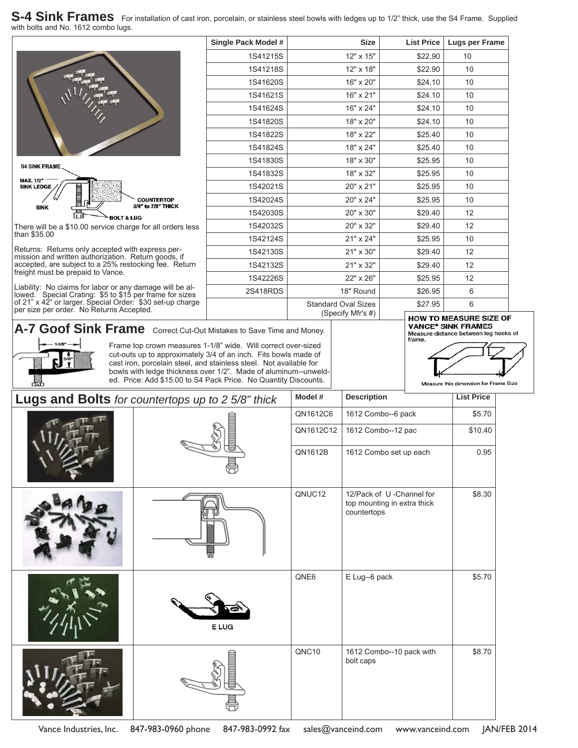#### S-4 Sink Frames For installation of cast iron, porcelain, or stainless steel bowls with ledges up to 1/2" thick, use the S4 Frame. Supplied with bolts and No. 1612 combo lugs.



|  | Single Pack Model # | <b>Size</b>                | <b>List Price</b> | Lugs per Frame               |
|--|---------------------|----------------------------|-------------------|------------------------------|
|  | 1S41215S            | 12" x 15"                  | \$22.90           | 10                           |
|  | 1S41218S            | 12" x 18"                  | \$22.90           | 10                           |
|  | 1S41620S            | 16" x 20"                  | \$24.10           | 10                           |
|  | 1S41621S            | 16" x 21"                  | \$24.10           | 10                           |
|  | 1S41624S            | 16" x 24"                  | \$24.10           | 10                           |
|  | 1S41820S            | 18" x 20"                  | \$24.10           | 10                           |
|  | 1S41822S            | 18" x 22"                  | \$25.40           | 10                           |
|  | 1S41824S            | 18" x 24"                  | \$25.40           | 10                           |
|  | 1S41830S            | 18" x 30"                  | \$25.95           | 10                           |
|  | 1S41832S            | 18" x 32"                  | \$25.95           | 10                           |
|  | 1S42021S            | 20" x 21"                  | \$25.95           | 10                           |
|  | 1S42024S            | 20" x 24"                  | \$25.95           | 10                           |
|  | 1S42030S            | 20" x 30"                  | \$29.40           | 12                           |
|  | 1S42032S            | 20" x 32"                  | \$29.40           | 12                           |
|  | 1S42124S            | 21" x 24"                  | \$25.95           | 10                           |
|  | 1S42130S            | 21" x 30"                  | \$29.40           | 12                           |
|  | 1S42132S            | 21" x 32"                  | \$29.40           | 12                           |
|  | 1S42226S            | 22" x 26"                  | \$25.95           | 12                           |
|  | 2S418RDS            | 18" Round                  | \$26.95           | 6                            |
|  |                     | <b>Standard Oval Sizes</b> | \$27.95           | 6                            |
|  |                     | (Specify Mfr's #)          |                   | <b>UOW TO MEACHDE CIZE O</b> |

There will be a \$10.00 service charge for all orders less than \$35.00

Returns: Returns only accepted with express permission and written authorization. Return goods, if accepted, are subject to a 25% restocking fee. Return freight must be prepaid to Vance.

Liability: No claims for labor or any damage will be allowed. Special Crating: \$5 to \$15 per frame for sizes of 21" x 42" or larger. Special Order: \$30 set-up charge per size per order. No Returns Accepted.

### A-7 Goof Sink Frame Correct Cut-Out Mistakes to Save Time and Money.



Frame top crown measures 1-1/8" wide. Will correct over-sized cut-outs up to approximately 3/4 of an inch. Fits bowls made of cast iron, porcelain steel, and stainless steel. Not available for bowls with ledge thickness over 1/2". Made of aluminum--unwelded. Price: Add \$15.00 to S4 Pack Price. No Quantity Discounts.

## HOW TO MEASURE SIZE OF **VANCE® SINK FRAMES** Measure distance between leg hooks of<br>frame.



| Lugs and Bolts for countertops up to 2 5/8" thick | Model #   | <b>Description</b>                                                     | <b>List Price</b> |  |
|---------------------------------------------------|-----------|------------------------------------------------------------------------|-------------------|--|
|                                                   | QN1612C6  | 1612 Combo--6 pack                                                     | \$5.70            |  |
|                                                   | QN1612C12 | 1612 Combo--12 pac                                                     | \$10.40           |  |
|                                                   | QN1612B   | 1612 Combo set up each                                                 | 0.95              |  |
|                                                   |           |                                                                        |                   |  |
|                                                   | QNUC12    | 12/Pack of U-Channel for<br>top mounting in extra thick<br>countertops | \$8.30            |  |
| 틞                                                 |           |                                                                        |                   |  |
|                                                   | QNE6      | E Lug--6 pack                                                          | \$5.70            |  |
| E LUG                                             |           |                                                                        |                   |  |
|                                                   | QNC10     | 1612 Combo--10 pack with<br>bolt caps                                  | \$8.70            |  |
|                                                   |           |                                                                        |                   |  |